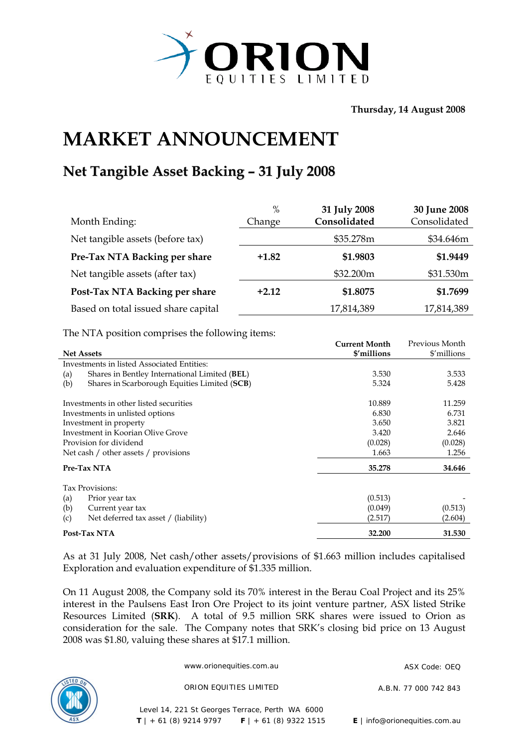

**Thursday, 14 August 2008** 

## **MARKET ANNOUNCEMENT**

## **Net Tangible Asset Backing – 31 July 2008**

|                                     | $\%$    | 31 July 2008 | 30 June 2008 |
|-------------------------------------|---------|--------------|--------------|
| Month Ending:                       | Change  | Consolidated | Consolidated |
| Net tangible assets (before tax)    |         | \$35.278m    | \$34.646m    |
| Pre-Tax NTA Backing per share       | $+1.82$ | \$1.9803     | \$1.9449     |
| Net tangible assets (after tax)     |         | \$32.200m    | \$31.530m    |
| Post-Tax NTA Backing per share      | $+2.12$ | \$1.8075     | \$1.7699     |
| Based on total issued share capital |         | 17,814,389   | 17,814,389   |

The NTA position comprises the following items:

|                                        |                                               | <b>Current Month</b> | Previous Month |
|----------------------------------------|-----------------------------------------------|----------------------|----------------|
| <b>Net Assets</b>                      |                                               | \$'millions          | \$'millions    |
|                                        | Investments in listed Associated Entities:    |                      |                |
| (a)                                    | Shares in Bentley International Limited (BEL) | 3.530                | 3.533          |
| (b)                                    | Shares in Scarborough Equities Limited (SCB)  | 5.324                | 5.428          |
| Investments in other listed securities |                                               | 10.889               | 11.259         |
| Investments in unlisted options        |                                               | 6.830                | 6.731          |
|                                        | Investment in property                        | 3.650                | 3.821          |
|                                        | Investment in Koorian Olive Grove             | 3.420                | 2.646          |
|                                        | Provision for dividend                        | (0.028)              | (0.028)        |
|                                        | Net cash / other assets / provisions          | 1.663                | 1.256          |
|                                        | Pre-Tax NTA                                   | 35.278               | 34.646         |
|                                        | Tax Provisions:                               |                      |                |
| (a)                                    | Prior year tax                                | (0.513)              |                |
| (b)                                    | Current year tax                              | (0.049)              | (0.513)        |
| (c)                                    | Net deferred tax asset / (liability)          | (2.517)              | (2.604)        |
|                                        | Post-Tax NTA                                  | 32.200               | 31.530         |

As at 31 July 2008, Net cash/other assets/provisions of \$1.663 million includes capitalised Exploration and evaluation expenditure of \$1.335 million.

On 11 August 2008, the Company sold its 70% interest in the Berau Coal Project and its 25% interest in the Paulsens East Iron Ore Project to its joint venture partner, ASX listed Strike Resources Limited (**SRK**). A total of 9.5 million SRK shares were issued to Orion as consideration for the sale. The Company notes that SRK's closing bid price on 13 August 2008 was \$1.80, valuing these shares at \$17.1 million.



www.orionequities.com.au ASX Code: OFO

ORION EQUITIES LIMITED A.B.N. 77 000 742 843

Level 14, 221 St Georges Terrace, Perth WA 6000  **T** | + 61 (8) 9214 9797 **F** | + 61 (8) 9322 1515 **E** | info@orionequities.com.au